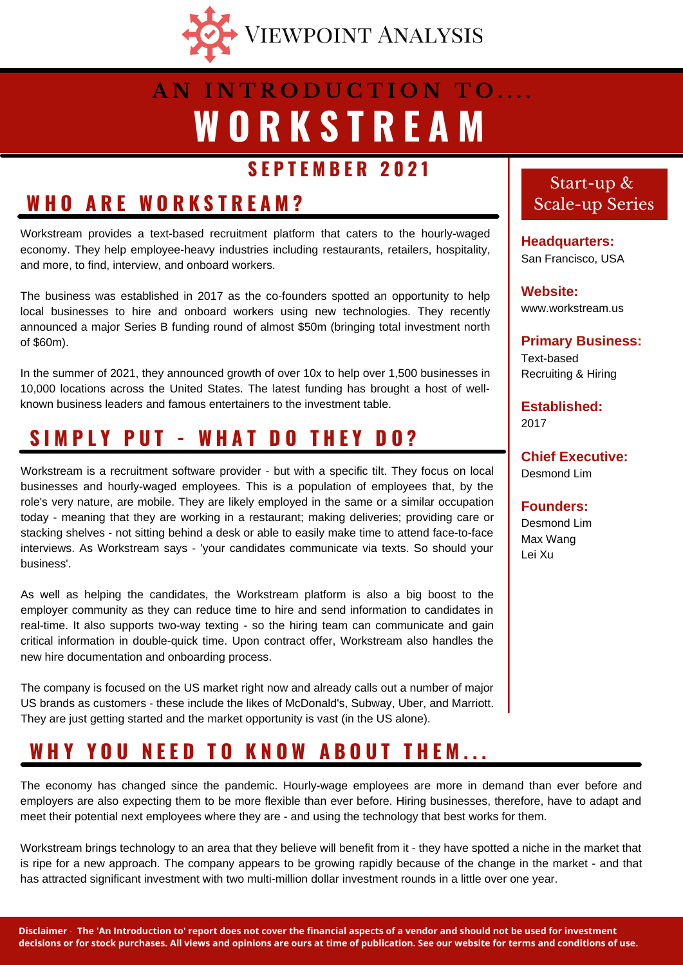

## **W O R K S T R E A M A N I N T R O D U C T I O N T O . . . .**

### **S E P T E M B E R 2 0 2 1**

### **W H O A R E W O R K S T R E A M ?**

Workstream provides a text-based recruitment platform that caters to the hourly-waged economy. They help employee-heavy industries including restaurants, retailers, hospitality, and more, to find, interview, and onboard workers.

The business was established in 2017 as the co-founders spotted an opportunity to help local businesses to hire and onboard workers using new technologies. They recently announced a major Series B funding round of almost \$50m (bringing total investment north of \$60m).

In the summer of 2021, they announced growth of over 10x to help over 1,500 businesses in 10,000 locations across the United States. The latest funding has brought a host of wellknown business leaders and famous entertainers to the investment table.

## **S I M P L Y P U T - W H A T D O T H E Y D O ?**

Workstream is a recruitment software provider - but with a specific tilt. They focus on local businesses and hourly-waged employees. This is a population of employees that, by the role's very nature, are mobile. They are likely employed in the same or a similar occupation today - meaning that they are working in a restaurant; making deliveries; providing care or stacking shelves - not sitting behind a desk or able to easily make time to attend face-to-face interviews. As Workstream says - 'your candidates communicate via texts. So should your business'.

As well as helping the candidates, the Workstream platform is also a big boost to the employer community as they can reduce time to hire and send information to candidates in real-time. It also supports two-way texting - so the hiring team can communicate and gain critical information in double-quick time. Upon contract offer, Workstream also handles the new hire documentation and onboarding process.

The company is focused on the US market right now and already calls out a number of major US brands as customers - these include the likes of McDonald's, Subway, Uber, and Marriott. They are just getting started and the market opportunity is vast (in the US alone).

## WHY YOU NEED TO KNOW ABOUT THEM...

The economy has changed since the pandemic. Hourly-wage employees are more in demand than ever before and employers are also expecting them to be more flexible than ever before. Hiring businesses, therefore, have to adapt and meet their potential next employees where they are - and using the technology that best works for them.

Workstream brings technology to an area that they believe will benefit from it - they have spotted a niche in the market that is ripe for a new approach. The company appears to be growing rapidly because of the change in the market - and that has attracted significant investment with two multi-million dollar investment rounds in a little over one year.

### Start-up & Scale-up Series

**Headquarters:** San Francisco, USA

**Website:** www.workstream.us

**Primary Business:** Text-based Recruiting & Hiring

**Established:** 2017

**Chief Executive:** Desmond Lim

**Founders:** Desmond Lim Max Wang Lei Xu